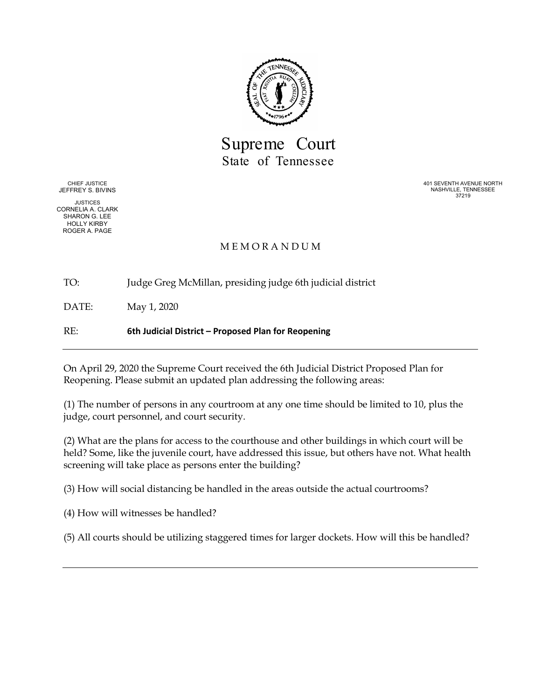

Supreme Court State of Tennessee

CHIEF JUSTICE JEFFREY S. BIVINS

JUSTICES CORNELIA A. CLARK SHARON G. LEE HOLLY KIRBY ROGER A. PAGE

401 SEVENTH AVENUE NORTH NASHVILLE, TENNESSEE 37219

# M E M O R A N D U M

TO: Judge Greg McMillan, presiding judge 6th judicial district

DATE: May 1, 2020

RE: **6th Judicial District – Proposed Plan for Reopening**

On April 29, 2020 the Supreme Court received the 6th Judicial District Proposed Plan for Reopening. Please submit an updated plan addressing the following areas:

(1) The number of persons in any courtroom at any one time should be limited to 10, plus the judge, court personnel, and court security.

(2) What are the plans for access to the courthouse and other buildings in which court will be held? Some, like the juvenile court, have addressed this issue, but others have not. What health screening will take place as persons enter the building?

(3) How will social distancing be handled in the areas outside the actual courtrooms?

(4) How will witnesses be handled?

(5) All courts should be utilizing staggered times for larger dockets. How will this be handled?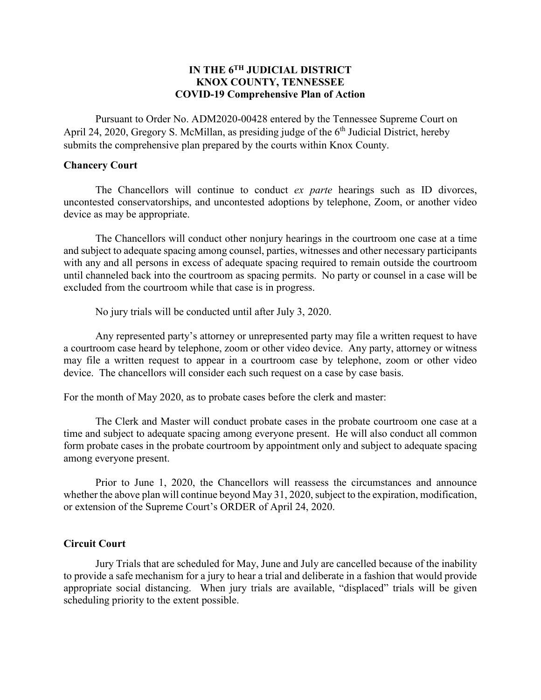# **IN THE 6TH JUDICIAL DISTRICT KNOX COUNTY, TENNESSEE COVID-19 Comprehensive Plan of Action**

Pursuant to Order No. ADM2020-00428 entered by the Tennessee Supreme Court on April 24, 2020, Gregory S. McMillan, as presiding judge of the  $6<sup>th</sup>$  Judicial District, hereby submits the comprehensive plan prepared by the courts within Knox County.

# **Chancery Court**

The Chancellors will continue to conduct *ex parte* hearings such as ID divorces, uncontested conservatorships, and uncontested adoptions by telephone, Zoom, or another video device as may be appropriate.

The Chancellors will conduct other nonjury hearings in the courtroom one case at a time and subject to adequate spacing among counsel, parties, witnesses and other necessary participants with any and all persons in excess of adequate spacing required to remain outside the courtroom until channeled back into the courtroom as spacing permits. No party or counsel in a case will be excluded from the courtroom while that case is in progress.

No jury trials will be conducted until after July 3, 2020.

Any represented party's attorney or unrepresented party may file a written request to have a courtroom case heard by telephone, zoom or other video device. Any party, attorney or witness may file a written request to appear in a courtroom case by telephone, zoom or other video device. The chancellors will consider each such request on a case by case basis.

For the month of May 2020, as to probate cases before the clerk and master:

The Clerk and Master will conduct probate cases in the probate courtroom one case at a time and subject to adequate spacing among everyone present. He will also conduct all common form probate cases in the probate courtroom by appointment only and subject to adequate spacing among everyone present.

Prior to June 1, 2020, the Chancellors will reassess the circumstances and announce whether the above plan will continue beyond May 31, 2020, subject to the expiration, modification, or extension of the Supreme Court's ORDER of April 24, 2020.

# **Circuit Court**

Jury Trials that are scheduled for May, June and July are cancelled because of the inability to provide a safe mechanism for a jury to hear a trial and deliberate in a fashion that would provide appropriate social distancing. When jury trials are available, "displaced" trials will be given scheduling priority to the extent possible.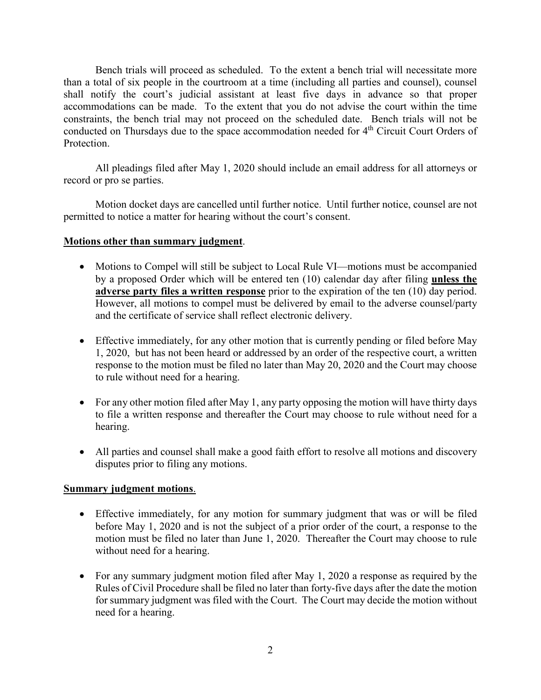Bench trials will proceed as scheduled. To the extent a bench trial will necessitate more than a total of six people in the courtroom at a time (including all parties and counsel), counsel shall notify the court's judicial assistant at least five days in advance so that proper accommodations can be made. To the extent that you do not advise the court within the time constraints, the bench trial may not proceed on the scheduled date. Bench trials will not be conducted on Thursdays due to the space accommodation needed for 4<sup>th</sup> Circuit Court Orders of Protection.

All pleadings filed after May 1, 2020 should include an email address for all attorneys or record or pro se parties.

Motion docket days are cancelled until further notice. Until further notice, counsel are not permitted to notice a matter for hearing without the court's consent.

# **Motions other than summary judgment**.

- Motions to Compel will still be subject to Local Rule VI—motions must be accompanied by a proposed Order which will be entered ten (10) calendar day after filing **unless the adverse party files a written response** prior to the expiration of the ten (10) day period. However, all motions to compel must be delivered by email to the adverse counsel/party and the certificate of service shall reflect electronic delivery.
- Effective immediately, for any other motion that is currently pending or filed before May 1, 2020, but has not been heard or addressed by an order of the respective court, a written response to the motion must be filed no later than May 20, 2020 and the Court may choose to rule without need for a hearing.
- For any other motion filed after May 1, any party opposing the motion will have thirty days to file a written response and thereafter the Court may choose to rule without need for a hearing.
- All parties and counsel shall make a good faith effort to resolve all motions and discovery disputes prior to filing any motions.

# **Summary judgment motions**.

- Effective immediately, for any motion for summary judgment that was or will be filed before May 1, 2020 and is not the subject of a prior order of the court, a response to the motion must be filed no later than June 1, 2020. Thereafter the Court may choose to rule without need for a hearing.
- For any summary judgment motion filed after May 1, 2020 a response as required by the Rules of Civil Procedure shall be filed no later than forty-five days after the date the motion for summary judgment was filed with the Court. The Court may decide the motion without need for a hearing.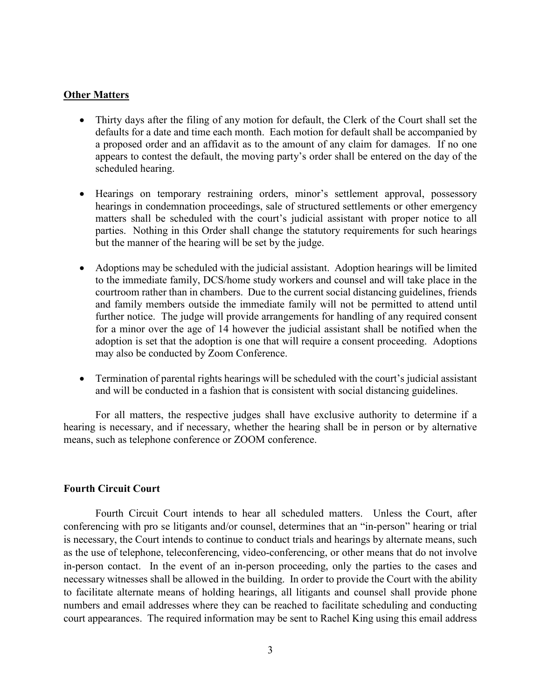### **Other Matters**

- Thirty days after the filing of any motion for default, the Clerk of the Court shall set the defaults for a date and time each month. Each motion for default shall be accompanied by a proposed order and an affidavit as to the amount of any claim for damages. If no one appears to contest the default, the moving party's order shall be entered on the day of the scheduled hearing.
- Hearings on temporary restraining orders, minor's settlement approval, possessory hearings in condemnation proceedings, sale of structured settlements or other emergency matters shall be scheduled with the court's judicial assistant with proper notice to all parties. Nothing in this Order shall change the statutory requirements for such hearings but the manner of the hearing will be set by the judge.
- Adoptions may be scheduled with the judicial assistant. Adoption hearings will be limited to the immediate family, DCS/home study workers and counsel and will take place in the courtroom rather than in chambers. Due to the current social distancing guidelines, friends and family members outside the immediate family will not be permitted to attend until further notice. The judge will provide arrangements for handling of any required consent for a minor over the age of 14 however the judicial assistant shall be notified when the adoption is set that the adoption is one that will require a consent proceeding. Adoptions may also be conducted by Zoom Conference.
- Termination of parental rights hearings will be scheduled with the court's judicial assistant and will be conducted in a fashion that is consistent with social distancing guidelines.

For all matters, the respective judges shall have exclusive authority to determine if a hearing is necessary, and if necessary, whether the hearing shall be in person or by alternative means, such as telephone conference or ZOOM conference.

# **Fourth Circuit Court**

Fourth Circuit Court intends to hear all scheduled matters. Unless the Court, after conferencing with pro se litigants and/or counsel, determines that an "in-person" hearing or trial is necessary, the Court intends to continue to conduct trials and hearings by alternate means, such as the use of telephone, teleconferencing, video-conferencing, or other means that do not involve in-person contact. In the event of an in-person proceeding, only the parties to the cases and necessary witnesses shall be allowed in the building. In order to provide the Court with the ability to facilitate alternate means of holding hearings, all litigants and counsel shall provide phone numbers and email addresses where they can be reached to facilitate scheduling and conducting court appearances. The required information may be sent to Rachel King using this email address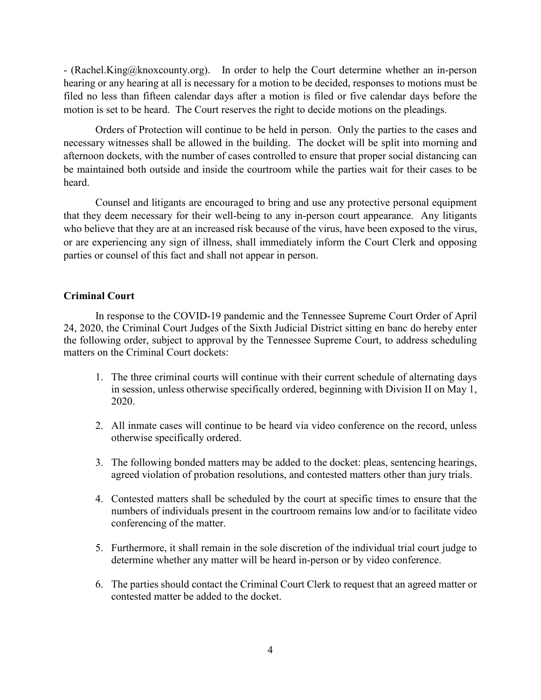- (Rachel.King@knoxcounty.org). In order to help the Court determine whether an in-person hearing or any hearing at all is necessary for a motion to be decided, responses to motions must be filed no less than fifteen calendar days after a motion is filed or five calendar days before the motion is set to be heard. The Court reserves the right to decide motions on the pleadings.

Orders of Protection will continue to be held in person. Only the parties to the cases and necessary witnesses shall be allowed in the building. The docket will be split into morning and afternoon dockets, with the number of cases controlled to ensure that proper social distancing can be maintained both outside and inside the courtroom while the parties wait for their cases to be heard.

Counsel and litigants are encouraged to bring and use any protective personal equipment that they deem necessary for their well-being to any in-person court appearance. Any litigants who believe that they are at an increased risk because of the virus, have been exposed to the virus, or are experiencing any sign of illness, shall immediately inform the Court Clerk and opposing parties or counsel of this fact and shall not appear in person.

### **Criminal Court**

In response to the COVID-19 pandemic and the Tennessee Supreme Court Order of April 24, 2020, the Criminal Court Judges of the Sixth Judicial District sitting en banc do hereby enter the following order, subject to approval by the Tennessee Supreme Court, to address scheduling matters on the Criminal Court dockets:

- 1. The three criminal courts will continue with their current schedule of alternating days in session, unless otherwise specifically ordered, beginning with Division II on May 1, 2020.
- 2. All inmate cases will continue to be heard via video conference on the record, unless otherwise specifically ordered.
- 3. The following bonded matters may be added to the docket: pleas, sentencing hearings, agreed violation of probation resolutions, and contested matters other than jury trials.
- 4. Contested matters shall be scheduled by the court at specific times to ensure that the numbers of individuals present in the courtroom remains low and/or to facilitate video conferencing of the matter.
- 5. Furthermore, it shall remain in the sole discretion of the individual trial court judge to determine whether any matter will be heard in-person or by video conference.
- 6. The parties should contact the Criminal Court Clerk to request that an agreed matter or contested matter be added to the docket.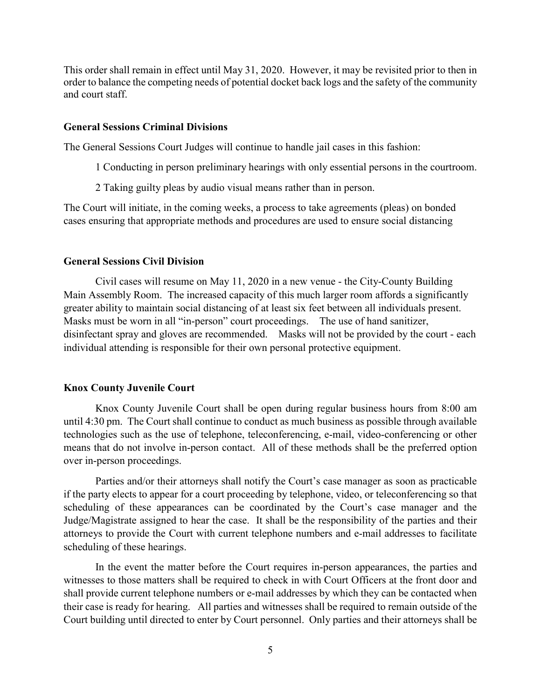This order shall remain in effect until May 31, 2020. However, it may be revisited prior to then in order to balance the competing needs of potential docket back logs and the safety of the community and court staff.

#### **General Sessions Criminal Divisions**

The General Sessions Court Judges will continue to handle jail cases in this fashion:

- 1 Conducting in person preliminary hearings with only essential persons in the courtroom.
- 2 Taking guilty pleas by audio visual means rather than in person.

The Court will initiate, in the coming weeks, a process to take agreements (pleas) on bonded cases ensuring that appropriate methods and procedures are used to ensure social distancing

### **General Sessions Civil Division**

Civil cases will resume on May 11, 2020 in a new venue - the City-County Building Main Assembly Room. The increased capacity of this much larger room affords a significantly greater ability to maintain social distancing of at least six feet between all individuals present. Masks must be worn in all "in-person" court proceedings. The use of hand sanitizer, disinfectant spray and gloves are recommended. Masks will not be provided by the court - each individual attending is responsible for their own personal protective equipment.

#### **Knox County Juvenile Court**

Knox County Juvenile Court shall be open during regular business hours from 8:00 am until 4:30 pm. The Court shall continue to conduct as much business as possible through available technologies such as the use of telephone, teleconferencing, e-mail, video-conferencing or other means that do not involve in-person contact. All of these methods shall be the preferred option over in-person proceedings.

Parties and/or their attorneys shall notify the Court's case manager as soon as practicable if the party elects to appear for a court proceeding by telephone, video, or teleconferencing so that scheduling of these appearances can be coordinated by the Court's case manager and the Judge/Magistrate assigned to hear the case. It shall be the responsibility of the parties and their attorneys to provide the Court with current telephone numbers and e-mail addresses to facilitate scheduling of these hearings.

In the event the matter before the Court requires in-person appearances, the parties and witnesses to those matters shall be required to check in with Court Officers at the front door and shall provide current telephone numbers or e-mail addresses by which they can be contacted when their case is ready for hearing. All parties and witnesses shall be required to remain outside of the Court building until directed to enter by Court personnel. Only parties and their attorneys shall be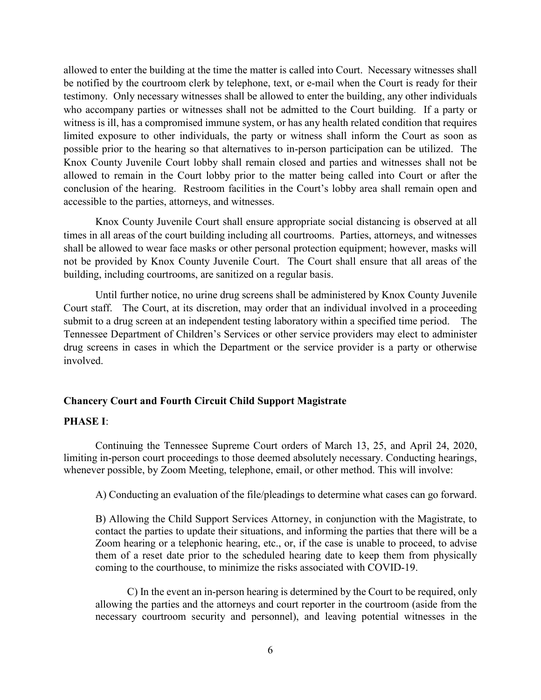allowed to enter the building at the time the matter is called into Court. Necessary witnesses shall be notified by the courtroom clerk by telephone, text, or e-mail when the Court is ready for their testimony. Only necessary witnesses shall be allowed to enter the building, any other individuals who accompany parties or witnesses shall not be admitted to the Court building. If a party or witness is ill, has a compromised immune system, or has any health related condition that requires limited exposure to other individuals, the party or witness shall inform the Court as soon as possible prior to the hearing so that alternatives to in-person participation can be utilized. The Knox County Juvenile Court lobby shall remain closed and parties and witnesses shall not be allowed to remain in the Court lobby prior to the matter being called into Court or after the conclusion of the hearing. Restroom facilities in the Court's lobby area shall remain open and accessible to the parties, attorneys, and witnesses.

Knox County Juvenile Court shall ensure appropriate social distancing is observed at all times in all areas of the court building including all courtrooms. Parties, attorneys, and witnesses shall be allowed to wear face masks or other personal protection equipment; however, masks will not be provided by Knox County Juvenile Court. The Court shall ensure that all areas of the building, including courtrooms, are sanitized on a regular basis.

Until further notice, no urine drug screens shall be administered by Knox County Juvenile Court staff. The Court, at its discretion, may order that an individual involved in a proceeding submit to a drug screen at an independent testing laboratory within a specified time period. The Tennessee Department of Children's Services or other service providers may elect to administer drug screens in cases in which the Department or the service provider is a party or otherwise involved.

# **Chancery Court and Fourth Circuit Child Support Magistrate**

#### **PHASE I**:

Continuing the Tennessee Supreme Court orders of March 13, 25, and April 24, 2020, limiting in-person court proceedings to those deemed absolutely necessary. Conducting hearings, whenever possible, by Zoom Meeting, telephone, email, or other method. This will involve:

A) Conducting an evaluation of the file/pleadings to determine what cases can go forward.

B) Allowing the Child Support Services Attorney, in conjunction with the Magistrate, to contact the parties to update their situations, and informing the parties that there will be a Zoom hearing or a telephonic hearing, etc., or, if the case is unable to proceed, to advise them of a reset date prior to the scheduled hearing date to keep them from physically coming to the courthouse, to minimize the risks associated with COVID-19.

C) In the event an in-person hearing is determined by the Court to be required, only allowing the parties and the attorneys and court reporter in the courtroom (aside from the necessary courtroom security and personnel), and leaving potential witnesses in the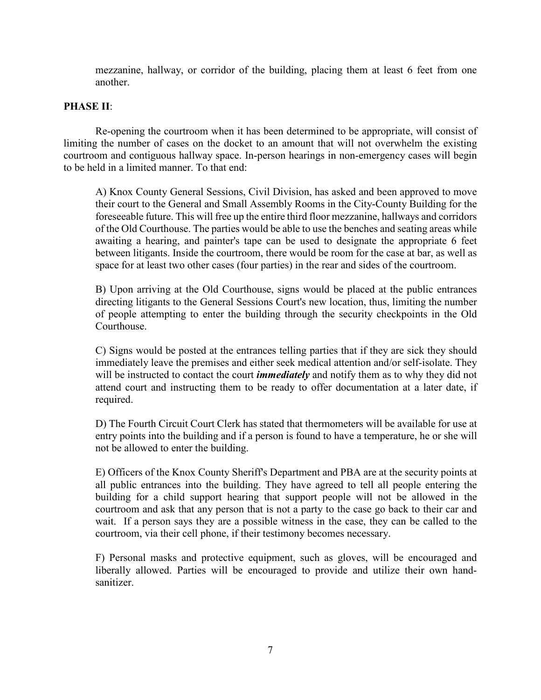mezzanine, hallway, or corridor of the building, placing them at least 6 feet from one another.

# **PHASE II**:

Re-opening the courtroom when it has been determined to be appropriate, will consist of limiting the number of cases on the docket to an amount that will not overwhelm the existing courtroom and contiguous hallway space. In-person hearings in non-emergency cases will begin to be held in a limited manner. To that end:

A) Knox County General Sessions, Civil Division, has asked and been approved to move their court to the General and Small Assembly Rooms in the City-County Building for the foreseeable future. This will free up the entire third floor mezzanine, hallways and corridors of the Old Courthouse. The parties would be able to use the benches and seating areas while awaiting a hearing, and painter's tape can be used to designate the appropriate 6 feet between litigants. Inside the courtroom, there would be room for the case at bar, as well as space for at least two other cases (four parties) in the rear and sides of the courtroom.

B) Upon arriving at the Old Courthouse, signs would be placed at the public entrances directing litigants to the General Sessions Court's new location, thus, limiting the number of people attempting to enter the building through the security checkpoints in the Old Courthouse.

C) Signs would be posted at the entrances telling parties that if they are sick they should immediately leave the premises and either seek medical attention and/or self-isolate. They will be instructed to contact the court *immediately* and notify them as to why they did not attend court and instructing them to be ready to offer documentation at a later date, if required.

D) The Fourth Circuit Court Clerk has stated that thermometers will be available for use at entry points into the building and if a person is found to have a temperature, he or she will not be allowed to enter the building.

E) Officers of the Knox County Sheriff's Department and PBA are at the security points at all public entrances into the building. They have agreed to tell all people entering the building for a child support hearing that support people will not be allowed in the courtroom and ask that any person that is not a party to the case go back to their car and wait. If a person says they are a possible witness in the case, they can be called to the courtroom, via their cell phone, if their testimony becomes necessary.

F) Personal masks and protective equipment, such as gloves, will be encouraged and liberally allowed. Parties will be encouraged to provide and utilize their own handsanitizer.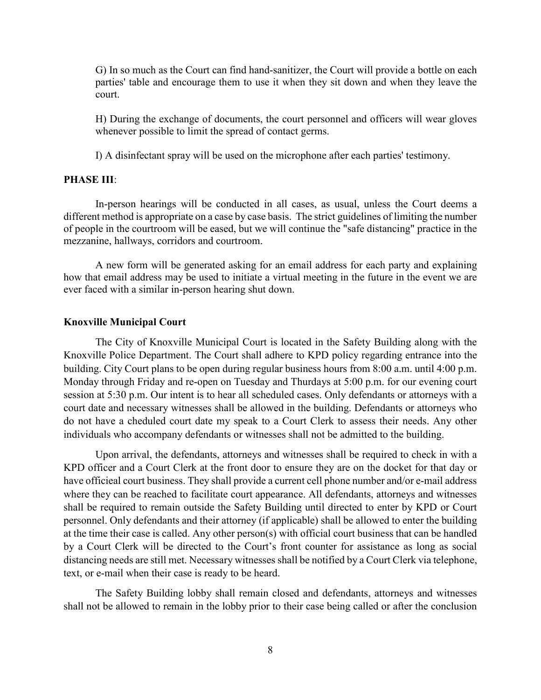G) In so much as the Court can find hand-sanitizer, the Court will provide a bottle on each parties' table and encourage them to use it when they sit down and when they leave the court.

H) During the exchange of documents, the court personnel and officers will wear gloves whenever possible to limit the spread of contact germs.

I) A disinfectant spray will be used on the microphone after each parties' testimony.

### **PHASE III**:

In-person hearings will be conducted in all cases, as usual, unless the Court deems a different method is appropriate on a case by case basis. The strict guidelines of limiting the number of people in the courtroom will be eased, but we will continue the "safe distancing" practice in the mezzanine, hallways, corridors and courtroom.

A new form will be generated asking for an email address for each party and explaining how that email address may be used to initiate a virtual meeting in the future in the event we are ever faced with a similar in-person hearing shut down.

### **Knoxville Municipal Court**

The City of Knoxville Municipal Court is located in the Safety Building along with the Knoxville Police Department. The Court shall adhere to KPD policy regarding entrance into the building. City Court plans to be open during regular business hours from 8:00 a.m. until 4:00 p.m. Monday through Friday and re-open on Tuesday and Thurdays at 5:00 p.m. for our evening court session at 5:30 p.m. Our intent is to hear all scheduled cases. Only defendants or attorneys with a court date and necessary witnesses shall be allowed in the building. Defendants or attorneys who do not have a cheduled court date my speak to a Court Clerk to assess their needs. Any other individuals who accompany defendants or witnesses shall not be admitted to the building.

Upon arrival, the defendants, attorneys and witnesses shall be required to check in with a KPD officer and a Court Clerk at the front door to ensure they are on the docket for that day or have officieal court business. They shall provide a current cell phone number and/or e-mail address where they can be reached to facilitate court appearance. All defendants, attorneys and witnesses shall be required to remain outside the Safety Building until directed to enter by KPD or Court personnel. Only defendants and their attorney (if applicable) shall be allowed to enter the building at the time their case is called. Any other person(s) with official court business that can be handled by a Court Clerk will be directed to the Court's front counter for assistance as long as social distancing needs are still met. Necessary witnesses shall be notified by a Court Clerk via telephone, text, or e-mail when their case is ready to be heard.

The Safety Building lobby shall remain closed and defendants, attorneys and witnesses shall not be allowed to remain in the lobby prior to their case being called or after the conclusion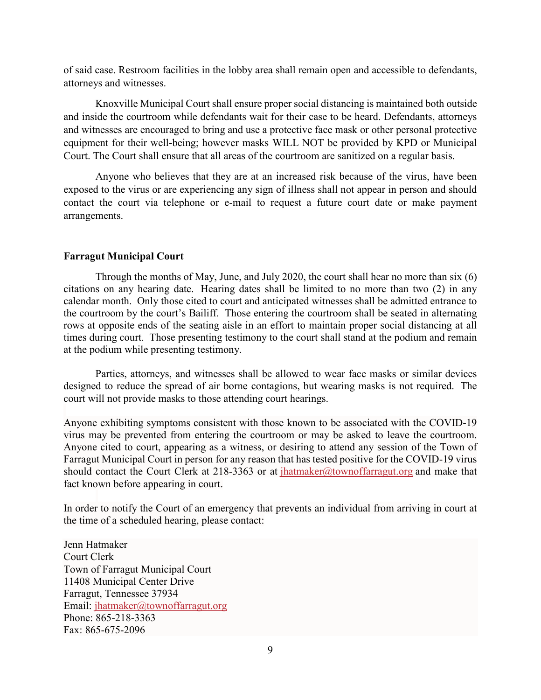of said case. Restroom facilities in the lobby area shall remain open and accessible to defendants, attorneys and witnesses.

Knoxville Municipal Court shall ensure proper social distancing is maintained both outside and inside the courtroom while defendants wait for their case to be heard. Defendants, attorneys and witnesses are encouraged to bring and use a protective face mask or other personal protective equipment for their well-being; however masks WILL NOT be provided by KPD or Municipal Court. The Court shall ensure that all areas of the courtroom are sanitized on a regular basis.

Anyone who believes that they are at an increased risk because of the virus, have been exposed to the virus or are experiencing any sign of illness shall not appear in person and should contact the court via telephone or e-mail to request a future court date or make payment arrangements.

# **Farragut Municipal Court**

Through the months of May, June, and July 2020, the court shall hear no more than six (6) citations on any hearing date. Hearing dates shall be limited to no more than two (2) in any calendar month. Only those cited to court and anticipated witnesses shall be admitted entrance to the courtroom by the court's Bailiff. Those entering the courtroom shall be seated in alternating rows at opposite ends of the seating aisle in an effort to maintain proper social distancing at all times during court. Those presenting testimony to the court shall stand at the podium and remain at the podium while presenting testimony.

Parties, attorneys, and witnesses shall be allowed to wear face masks or similar devices designed to reduce the spread of air borne contagions, but wearing masks is not required. The court will not provide masks to those attending court hearings.

Anyone exhibiting symptoms consistent with those known to be associated with the COVID-19 virus may be prevented from entering the courtroom or may be asked to leave the courtroom. Anyone cited to court, appearing as a witness, or desiring to attend any session of the Town of Farragut Municipal Court in person for any reason that has tested positive for the COVID-19 virus should contact the Court Clerk at 218-3363 or at  $i$ hatmaker@townoffarragut.org and make that fact known before appearing in court.

In order to notify the Court of an emergency that prevents an individual from arriving in court at the time of a scheduled hearing, please contact:

Jenn Hatmaker Court Clerk Town of Farragut Municipal Court 11408 Municipal Center Drive Farragut, Tennessee 37934 Email: [jhatmaker@townoffarragut.org](mailto:jhatmaker@townoffarragut.org) Phone: 865-218-3363 Fax: 865-675-2096